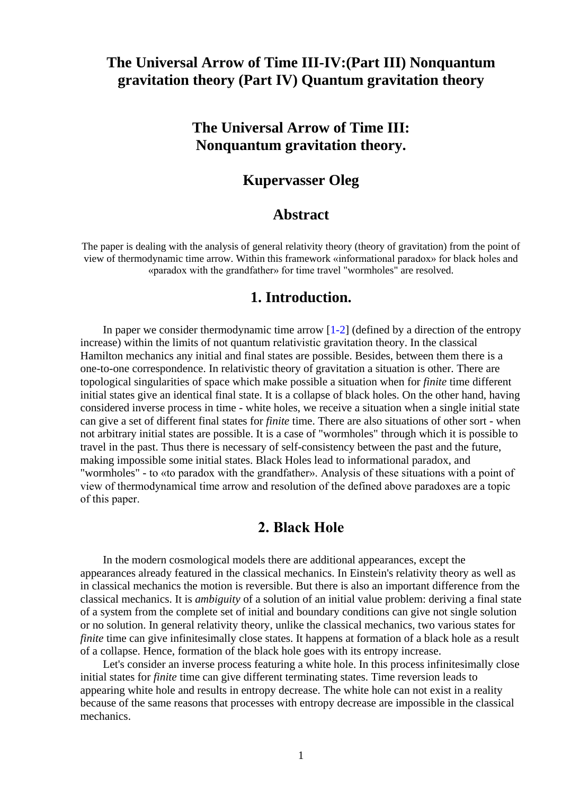# **The Universal Arrow of Time III-IV:(Part III) Nonquantum gravitation theory (Part IV) Quantum gravitation theory**

# **The Universal Arrow of Time III: Nonquantum gravitation theory.**

# **Kupervasser Oleg**

### **Abstract**

The paper is dealing with the analysis of general relativity theory (theory of gravitation) from the point of view of thermodynamic time arrow. Within this framework «informational paradox» for black holes and «paradox with the grandfather» for time travel "wormholes" are resolved.

#### **1. Introduction.**

In paper we consider thermodynamic time arrow  $[1-2]$  (defined by a direction of the entropy increase) within the limits of not quantum relativistic gravitation theory. In the classical Hamilton mechanics any initial and final states are possible. Besides, between them there is a one-to-one correspondence. In relativistic theory of gravitation a situation is other. There are topological singularities of space which make possible a situation when for *finite* time different initial states give an identical final state. It is a collapse of black holes. On the other hand, having considered inverse process in time - white holes, we receive a situation when a single initial state can give a set of different final states for *finite* time. There are also situations of other sort - when not arbitrary initial states are possible. It is a case of "wormholes" through which it is possible to travel in the past. Thus there is necessary of self-consistency between the past and the future, making impossible some initial states. Black Holes lead to informational paradox, and "wormholes" - to «to paradox with the grandfather». Analysis of these situations with a point of view of thermodynamical time arrow and resolution of the defined above paradoxes are a topic of this paper.

# **2. Black Hole**

 In the modern cosmological models there are additional appearances, except the appearances already featured in the classical mechanics. In Einstein's relativity theory as well as in classical mechanics the motion is reversible. But there is also an important difference from the classical mechanics. It is *ambiguity* of a solution of an initial value problem: deriving a final state of a system from the complete set of initial and boundary conditions can give not single solution or no solution. In general relativity theory, unlike the classical mechanics, two various states for *finite* time can give infinitesimally close states. It happens at formation of a black hole as a result of a collapse. Hence, formation of the black hole goes with its entropy increase.

 Let's consider an inverse process featuring a white hole. In this process infinitesimally close initial states for *finite* time can give different terminating states. Time reversion leads to appearing white hole and results in entropy decrease. The white hole can not exist in a reality because of the same reasons that processes with entropy decrease are impossible in the classical mechanics.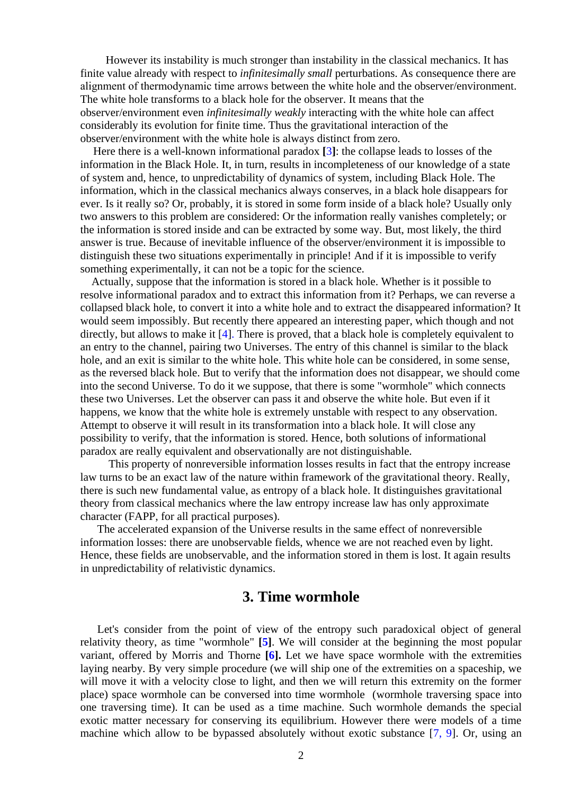However its instability is much stronger than instability in the classical mechanics. It has finite value already with respect to *infinitesimally small* perturbations. As consequence there are alignment of thermodynamic time arrows between the white hole and the observer/environment. The white hole transforms to a black hole for the observer. It means that the observer/environment even *infinitesimally weakly* interacting with the white hole can affect considerably its evolution for finite time. Thus the gravitational interaction of the observer/environment with the white hole is always distinct from zero.

 Here there is a well-known informational paradox **[**3**]**: the collapse leads to losses of the information in the Black Hole. It, in turn, results in incompleteness of our knowledge of a state of system and, hence, to unpredictability of dynamics of system, including Black Hole. The information, which in the classical mechanics always conserves, in a black hole disappears for ever. Is it really so? Or, probably, it is stored in some form inside of a black hole? Usually only two answers to this problem are considered: Or the information really vanishes completely; or the information is stored inside and can be extracted by some way. But, most likely, the third answer is true. Because of inevitable influence of the observer/environment it is impossible to distinguish these two situations experimentally in principle! And if it is impossible to verify something experimentally, it can not be a topic for the science.

 Actually, suppose that the information is stored in a black hole. Whether is it possible to resolve informational paradox and to extract this information from it? Perhaps, we can reverse a collapsed black hole, to convert it into a white hole and to extract the disappeared information? It would seem impossibly. But recently there appeared an interesting paper, which though and not directly, but allows to make it [4]. There is proved, that a black hole is completely equivalent to an entry to the channel, pairing two Universes. The entry of this channel is similar to the black hole, and an exit is similar to the white hole. This white hole can be considered, in some sense, as the reversed black hole. But to verify that the information does not disappear, we should come into the second Universe. To do it we suppose, that there is some "wormhole" which connects these two Universes. Let the observer can pass it and observe the white hole. But even if it happens, we know that the white hole is extremely unstable with respect to any observation. Attempt to observe it will result in its transformation into a black hole. It will close any possibility to verify, that the information is stored. Hence, both solutions of informational paradox are really equivalent and observationally are not distinguishable.

 This property of nonreversible information losses results in fact that the entropy increase law turns to be an exact law of the nature within framework of the gravitational theory. Really, there is such new fundamental value, as entropy of a black hole. It distinguishes gravitational theory from classical mechanics where the law entropy increase law has only approximate character (FAPP, for all practical purposes).

 The accelerated expansion of the Universe results in the same effect of nonreversible information losses: there are unobservable fields, whence we are not reached even by light. Hence, these fields are unobservable, and the information stored in them is lost. It again results in unpredictability of relativistic dynamics.

#### **3. Time wormhole**

 Let's consider from the point of view of the entropy such paradoxical object of general relativity theory, as time "wormhole" **[5]**. We will consider at the beginning the most popular variant, offered by Morris and Thorne **[6].** Let we have space wormhole with the extremities laying nearby. By very simple procedure (we will ship one of the extremities on a spaceship, we will move it with a velocity close to light, and then we will return this extremity on the former place) space wormhole can be conversed into time wormhole (wormhole traversing space into one traversing time). It can be used as a time machine. Such wormhole demands the special exotic matter necessary for conserving its equilibrium. However there were models of a time machine which allow to be bypassed absolutely without exotic substance [7, 9]. Or, using an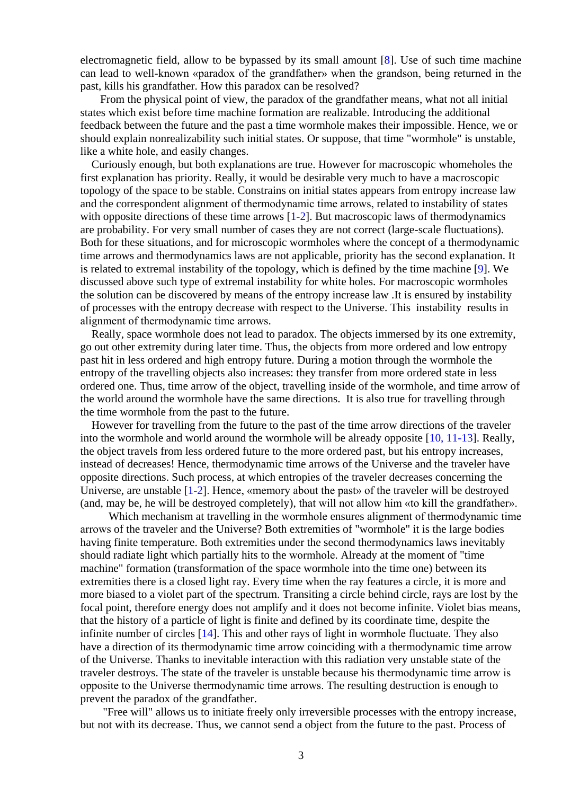electromagnetic field, allow to be bypassed by its small amount [8]. Use of such time machine can lead to well-known «paradox of the grandfather» when the grandson, being returned in the past, kills his grandfather. How this paradox can be resolved?

 From the physical point of view, the paradox of the grandfather means, what not all initial states which exist before time machine formation are realizable. Introducing the additional feedback between the future and the past a time wormhole makes their impossible. Hence, we or should explain nonrealizability such initial states. Or suppose, that time "wormhole" is unstable, like a white hole, and easily changes.

 Curiously enough, but both explanations are true. However for macroscopic whomeholes the first explanation has priority. Really, it would be desirable very much to have a macroscopic topology of the space to be stable. Constrains on initial states appears from entropy increase law and the correspondent alignment of thermodynamic time arrows, related to instability of states with opposite directions of these time arrows [1-2]. But macroscopic laws of thermodynamics are probability. For very small number of cases they are not correct (large-scale fluctuations). Both for these situations, and for microscopic wormholes where the concept of a thermodynamic time arrows and thermodynamics laws are not applicable, priority has the second explanation. It is related to extremal instability of the topology, which is defined by the time machine [9]. We discussed above such type of extremal instability for white holes. For macroscopic wormholes the solution can be discovered by means of the entropy increase law .It is ensured by instability of processes with the entropy decrease with respect to the Universe. This instability results in alignment of thermodynamic time arrows.

 Really, space wormhole does not lead to paradox. The objects immersed by its one extremity, go out other extremity during later time. Thus, the objects from more ordered and low entropy past hit in less ordered and high entropy future. During a motion through the wormhole the entropy of the travelling objects also increases: they transfer from more ordered state in less ordered one. Thus, time arrow of the object, travelling inside of the wormhole, and time arrow of the world around the wormhole have the same directions. It is also true for travelling through the time wormhole from the past to the future.

 However for travelling from the future to the past of the time arrow directions of the traveler into the wormhole and world around the wormhole will be already opposite [10, 11-13]. Really, the object travels from less ordered future to the more ordered past, but his entropy increases, instead of decreases! Hence, thermodynamic time arrows of the Universe and the traveler have opposite directions. Such process, at which entropies of the traveler decreases concerning the Universe, are unstable [1-2]. Hence, «memory about the past» of the traveler will be destroyed (and, may be, he will be destroyed completely), that will not allow him «to kill the grandfather».

Which mechanism at travelling in the wormhole ensures alignment of thermodynamic time arrows of the traveler and the Universe? Both extremities of "wormhole" it is the large bodies having finite temperature. Both extremities under the second thermodynamics laws inevitably should radiate light which partially hits to the wormhole. Already at the moment of "time machine" formation (transformation of the space wormhole into the time one) between its extremities there is a closed light ray. Every time when the ray features a circle, it is more and more biased to a violet part of the spectrum. Transiting a circle behind circle, rays are lost by the focal point, therefore energy does not amplify and it does not become infinite. Violet bias means, that the history of a particle of light is finite and defined by its coordinate time, despite the infinite number of circles [14]. This and other rays of light in wormhole fluctuate. They also have a direction of its thermodynamic time arrow coinciding with a thermodynamic time arrow of the Universe. Thanks to inevitable interaction with this radiation very unstable state of the traveler destroys. The state of the traveler is unstable because his thermodynamic time arrow is opposite to the Universe thermodynamic time arrows. The resulting destruction is enough to prevent the paradox of the grandfather.

 "Free will" allows us to initiate freely only irreversible processes with the entropy increase, but not with its decrease. Thus, we cannot send a object from the future to the past. Process of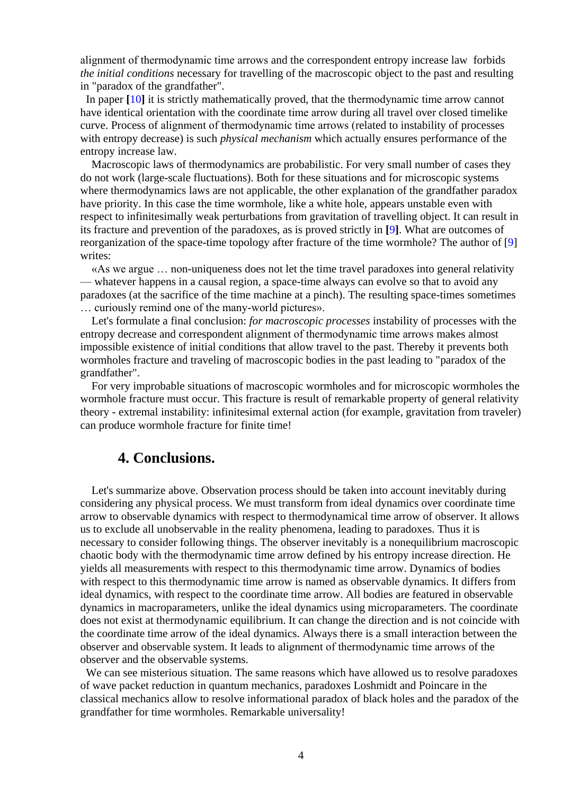alignment of thermodynamic time arrows and the correspondent entropy increase law forbids *the initial conditions* necessary for travelling of the macroscopic object to the past and resulting in "paradox of the grandfather".

 In paper **[**10**]** it is strictly mathematically proved, that the thermodynamic time arrow cannot have identical orientation with the coordinate time arrow during all travel over closed timelike curve. Process of alignment of thermodynamic time arrows (related to instability of processes with entropy decrease) is such *physical mechanism* which actually ensures performance of the entropy increase law.

 Macroscopic laws of thermodynamics are probabilistic. For very small number of cases they do not work (large-scale fluctuations). Both for these situations and for microscopic systems where thermodynamics laws are not applicable, the other explanation of the grandfather paradox have priority. In this case the time wormhole, like a white hole, appears unstable even with respect to infinitesimally weak perturbations from gravitation of travelling object. It can result in its fracture and prevention of the paradoxes, as is proved strictly in **[**9**]**. What are outcomes of reorganization of the space-time topology after fracture of the time wormhole? The author of [9] writes:

 «As we argue … non-uniqueness does not let the time travel paradoxes into general relativity — whatever happens in a causal region, a space-time always can evolve so that to avoid any paradoxes (at the sacrifice of the time machine at a pinch). The resulting space-times sometimes … curiously remind one of the many-world pictures».

 Let's formulate a final conclusion: *for macroscopic processes* instability of processes with the entropy decrease and correspondent alignment of thermodynamic time arrows makes almost impossible existence of initial conditions that allow travel to the past. Thereby it prevents both wormholes fracture and traveling of macroscopic bodies in the past leading to "paradox of the grandfather".

 For very improbable situations of macroscopic wormholes and for microscopic wormholes the wormhole fracture must occur. This fracture is result of remarkable property of general relativity theory - extremal instability: infinitesimal external action (for example, gravitation from traveler) can produce wormhole fracture for finite time!

### **4. Conclusions.**

 Let's summarize above. Observation process should be taken into account inevitably during considering any physical process. We must transform from ideal dynamics over coordinate time arrow to observable dynamics with respect to thermodynamical time arrow of observer. It allows us to exclude all unobservable in the reality phenomena, leading to paradoxes. Thus it is necessary to consider following things. The observer inevitably is a nonequilibrium macroscopic chaotic body with the thermodynamic time arrow defined by his entropy increase direction. He yields all measurements with respect to this thermodynamic time arrow. Dynamics of bodies with respect to this thermodynamic time arrow is named as observable dynamics. It differs from ideal dynamics, with respect to the coordinate time arrow. All bodies are featured in observable dynamics in macroparameters, unlike the ideal dynamics using microparameters. The coordinate does not exist at thermodynamic equilibrium. It can change the direction and is not coincide with the coordinate time arrow of the ideal dynamics. Always there is a small interaction between the observer and observable system. It leads to alignment of thermodynamic time arrows of the observer and the observable systems.

 We can see misterious situation. The same reasons which have allowed us to resolve paradoxes of wave packet reduction in quantum mechanics, paradoxes Loshmidt and Poincare in the classical mechanics allow to resolve informational paradox of black holes and the paradox of the grandfather for time wormholes. Remarkable universality!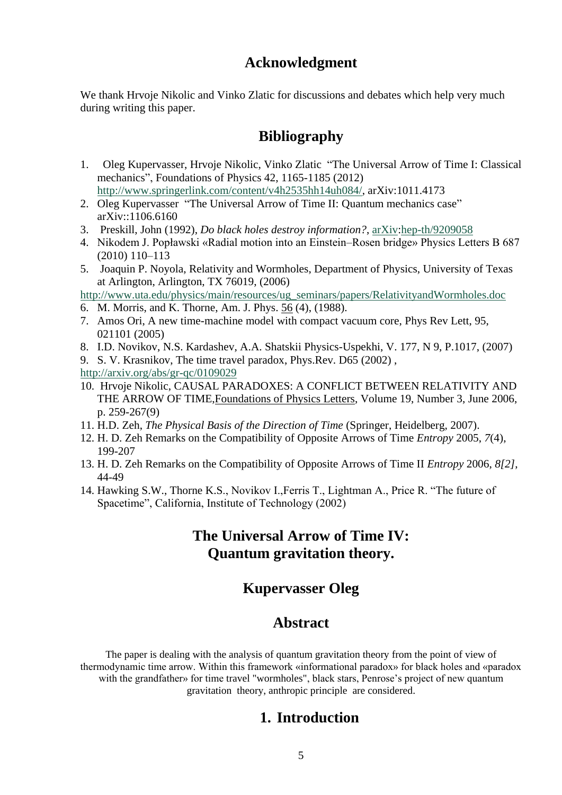# **Acknowledgment**

We thank Hrvoje Nikolic and Vinko Zlatic for discussions and debates which help very much during writing this paper.

# **Bibliography**

- 1. Oleg Kupervasser, Hrvoje Nikolic, Vinko Zlatic "The Universal Arrow of Time I: Classical mechanics", Foundations of Physics 42, 1165-1185 (2012) [http://www.springerlink.com/content/v4h2535hh14uh084/,](http://www.springerlink.com/content/v4h2535hh14uh084/) arXiv:1011.4173
- 2. Oleg Kupervasser "The Universal Arrow of Time II: Quantum mechanics case" arXiv::1106.6160
- 3. Preskill, John (1992), *Do black holes destroy information?*, [arXiv:](http://en.wikipedia.org/wiki/ArXiv)[hep-th/9209058](http://arxiv.org/abs/hep-th/9209058)
- 4. Nikodem J. Popławski «Radial motion into an Einstein–Rosen bridge» Physics Letters B 687 (2010) 110–113
- 5. Joaquin P. Noyola, Relativity and Wormholes, Department of Physics, University of Texas at Arlington, Arlington, TX 76019, (2006)

[http://www.uta.edu/physics/main/resources/ug\\_seminars/papers/RelativityandWormholes.doc](http://www.uta.edu/physics/main/resources/ug_seminars/papers/RelativityandWormholes.doc)

- 6. M. Morris, and K. Thorne, Am. J. Phys. 56 (4), (1988).
- 7. Amos Ori, A new time-machine model with compact vacuum core, [Phys Rev Lett, 95,](http://arxiv.org/ct?url=http%3A%2F%2Fdx.doi.org%2F10%252E1103%2FPhysRevLett%252E95%252E021101&v=dadb9d9b)  [021101](http://arxiv.org/ct?url=http%3A%2F%2Fdx.doi.org%2F10%252E1103%2FPhysRevLett%252E95%252E021101&v=dadb9d9b) (2005)
- 8. I.D. Novikov, N.S. Kardashev, A.A. Shatskii Physics-Uspekhi, V. 177, N 9, P.1017, (2007)

9. S. V. Krasnikov, The time travel paradox, Phys.Rev. D65 (2002) , <http://arxiv.org/abs/gr-qc/0109029>

- 10. Hrvoje Nikolic, CAUSAL PARADOXES: A CONFLICT BETWEEN RELATIVITY AND THE ARROW OF TIME[,Foundations of Physics Letters,](http://www.ingentaconnect.com/content/klu/fopl;jsessionid=1hraqop7oafa7.alice) Volume 19, Number 3, June 2006, p. 259-267(9)
- 11. H.D. Zeh, *The Physical Basis of the Direction of Time* (Springer, Heidelberg, 2007).
- 12. H. D. Zeh Remarks on the Compatibility of Opposite Arrows of Time *Entropy* 2005, *7*(4), 199-207
- 13. H. D. Zeh Remarks on the Compatibility of Opposite Arrows of Time II *Entropy* 2006, *8[2]*, 44-49
- 14. Hawking S.W., Thorne K.S., Novikov I.,Ferris T., Lightman A., Price R. "The future of Spacetime", California, Institute of Technology (2002)

# **The Universal Arrow of Time IV: Quantum gravitation theory.**

# **Kupervasser Oleg**

# **Abstract**

The paper is dealing with the analysis of quantum gravitation theory from the point of view of thermodynamic time arrow. Within this framework «informational paradox» for black holes and «paradox with the grandfather» for time travel "wormholes", black stars, Penrose's project of new quantum gravitation theory, anthropic principle are considered.

# **1. Introduction**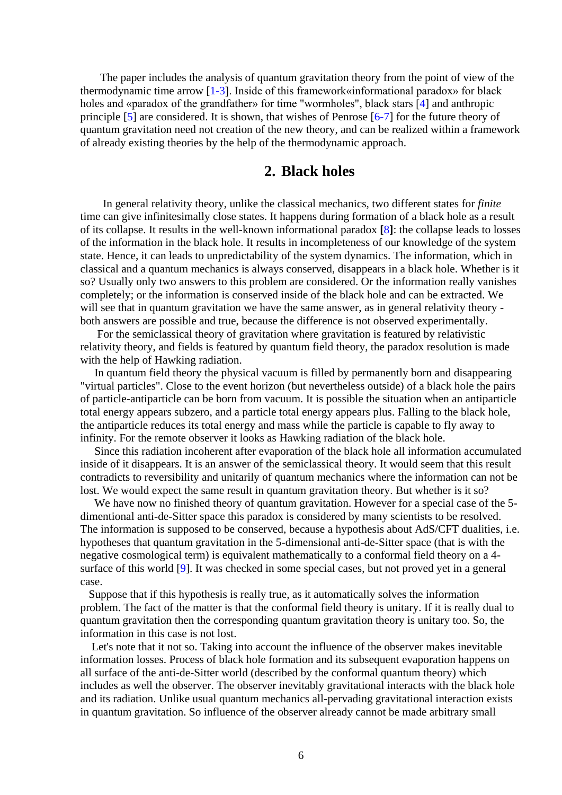The paper includes the analysis of quantum gravitation theory from the point of view of the thermodynamic time arrow [1-3]. Inside of this framework«informational paradox» for black holes and «paradox of the grandfather» for time "wormholes", black stars [4] and anthropic principle [5] are considered. It is shown, that wishes of Penrose [6-7] for the future theory of quantum gravitation need not creation of the new theory, and can be realized within a framework of already existing theories by the help of the thermodynamic approach.

### **2. Black holes**

 In general relativity theory, unlike the classical mechanics, two different states for *finite*  time can give infinitesimally close states. It happens during formation of a black hole as a result of its collapse. It results in the well-known informational paradox **[**8**]**: the collapse leads to losses of the information in the black hole. It results in incompleteness of our knowledge of the system state. Hence, it can leads to unpredictability of the system dynamics. The information, which in classical and a quantum mechanics is always conserved, disappears in a black hole. Whether is it so? Usually only two answers to this problem are considered. Or the information really vanishes completely; or the information is conserved inside of the black hole and can be extracted. We will see that in quantum gravitation we have the same answer, as in general relativity theory both answers are possible and true, because the difference is not observed experimentally.

 For the semiclassical theory of gravitation where gravitation is featured by relativistic relativity theory, and fields is featured by quantum field theory, the paradox resolution is made with the help of Hawking radiation.

 In quantum field theory the physical vacuum is filled by permanently born and disappearing "virtual particles". Close to the event horizon (but nevertheless outside) of a black hole the pairs of particle-antiparticle can be born from vacuum. It is possible the situation when an antiparticle total energy appears subzero, and a particle total energy appears plus. Falling to the black hole, the antiparticle reduces its total energy and mass while the particle is capable to fly away to infinity. For the remote observer it looks as Hawking radiation of the black hole.

 Since this radiation incoherent after evaporation of the black hole all information accumulated inside of it disappears. It is an answer of the semiclassical theory. It would seem that this result contradicts to reversibility and unitarily of quantum mechanics where the information can not be lost. We would expect the same result in quantum gravitation theory. But whether is it so?

 We have now no finished theory of quantum gravitation. However for a special case of the 5 dimentional anti-de-Sitter space this paradox is considered by many scientists to be resolved. The information is supposed to be conserved, because a hypothesis about AdS/CFT dualities, i.e. hypotheses that quantum gravitation in the 5-dimensional anti-de-Sitter space (that is with the negative cosmological term) is equivalent mathematically to a conformal field theory on a 4 surface of this world [9]. It was checked in some special cases, but not proved yet in a general case.

 Suppose that if this hypothesis is really true, as it automatically solves the information problem. The fact of the matter is that the conformal field theory is unitary. If it is really dual to quantum gravitation then the corresponding quantum gravitation theory is unitary too. So, the information in this case is not lost.

 Let's note that it not so. Taking into account the influence of the observer makes inevitable information losses. Process of black hole formation and its subsequent evaporation happens on all surface of the anti-de-Sitter world (described by the conformal quantum theory) which includes as well the observer. The observer inevitably gravitational interacts with the black hole and its radiation. Unlike usual quantum mechanics all-pervading gravitational interaction exists in quantum gravitation. So influence of the observer already cannot be made arbitrary small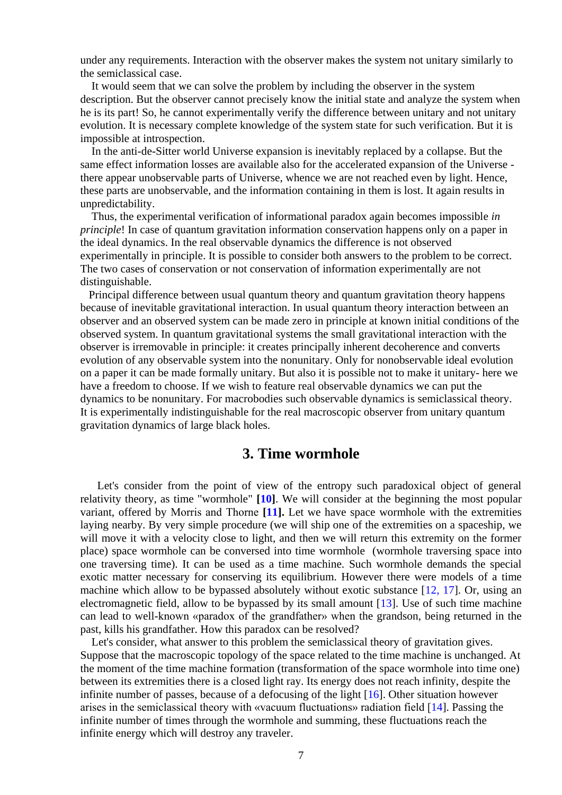under any requirements. Interaction with the observer makes the system not unitary similarly to the semiclassical case.

 It would seem that we can solve the problem by including the observer in the system description. But the observer cannot precisely know the initial state and analyze the system when he is its part! So, he cannot experimentally verify the difference between unitary and not unitary evolution. It is necessary complete knowledge of the system state for such verification. But it is impossible at introspection.

 In the anti-de-Sitter world Universe expansion is inevitably replaced by a collapse. But the same effect information losses are available also for the accelerated expansion of the Universe there appear unobservable parts of Universe, whence we are not reached even by light. Hence, these parts are unobservable, and the information containing in them is lost. It again results in unpredictability.

 Thus, the experimental verification of informational paradox again becomes impossible *in principle*! In case of quantum gravitation information conservation happens only on a paper in the ideal dynamics. In the real observable dynamics the difference is not observed experimentally in principle. It is possible to consider both answers to the problem to be correct. The two cases of conservation or not conservation of information experimentally are not distinguishable.

 Principal difference between usual quantum theory and quantum gravitation theory happens because of inevitable gravitational interaction. In usual quantum theory interaction between an observer and an observed system can be made zero in principle at known initial conditions of the observed system. In quantum gravitational systems the small gravitational interaction with the observer is irremovable in principle: it creates principally inherent decoherence and converts evolution of any observable system into the nonunitary. Only for nonobservable ideal evolution on a paper it can be made formally unitary. But also it is possible not to make it unitary- here we have a freedom to choose. If we wish to feature real observable dynamics we can put the dynamics to be nonunitary. For macrobodies such observable dynamics is semiclassical theory. It is experimentally indistinguishable for the real macroscopic observer from unitary quantum gravitation dynamics of large black holes.

#### **3. Time wormhole**

 Let's consider from the point of view of the entropy such paradoxical object of general relativity theory, as time "wormhole" **[10]**. We will consider at the beginning the most popular variant, offered by Morris and Thorne **[11].** Let we have space wormhole with the extremities laying nearby. By very simple procedure (we will ship one of the extremities on a spaceship, we will move it with a velocity close to light, and then we will return this extremity on the former place) space wormhole can be conversed into time wormhole (wormhole traversing space into one traversing time). It can be used as a time machine. Such wormhole demands the special exotic matter necessary for conserving its equilibrium. However there were models of a time machine which allow to be bypassed absolutely without exotic substance  $[12, 17]$ . Or, using an electromagnetic field, allow to be bypassed by its small amount [13]. Use of such time machine can lead to well-known «paradox of the grandfather» when the grandson, being returned in the past, kills his grandfather. How this paradox can be resolved?

 Let's consider, what answer to this problem the semiclassical theory of gravitation gives. Suppose that the macroscopic topology of the space related to the time machine is unchanged. At the moment of the time machine formation (transformation of the space wormhole into time one) between its extremities there is a closed light ray. Its energy does not reach infinity, despite the infinite number of passes, because of a defocusing of the light [16]. Other situation however arises in the semiclassical theory with «vacuum fluctuations» radiation field [14]. Passing the infinite number of times through the wormhole and summing, these fluctuations reach the infinite energy which will destroy any traveler.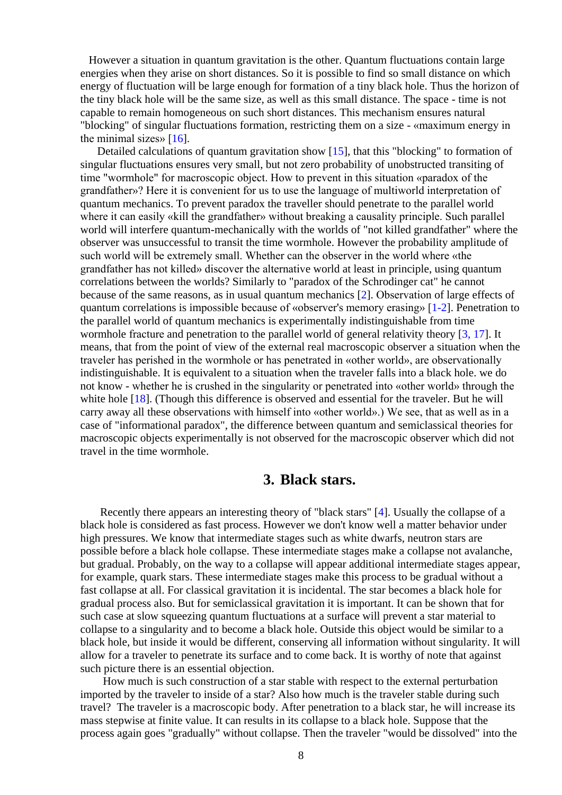However a situation in quantum gravitation is the other. Quantum fluctuations contain large energies when they arise on short distances. So it is possible to find so small distance on which energy of fluctuation will be large enough for formation of a tiny black hole. Thus the horizon of the tiny black hole will be the same size, as well as this small distance. The space - time is not capable to remain homogeneous on such short distances. This mechanism ensures natural "blocking" of singular fluctuations formation, restricting them on a size - «maximum energy in the minimal sizes»  $[16]$ .

 Detailed calculations of quantum gravitation show [15], that this "blocking" to formation of singular fluctuations ensures very small, but not zero probability of unobstructed transiting of time "wormhole" for macroscopic object. How to prevent in this situation «paradox of the grandfather»? Here it is convenient for us to use the language of multiworld interpretation of quantum mechanics. To prevent paradox the traveller should penetrate to the parallel world where it can easily «kill the grandfather» without breaking a causality principle. Such parallel world will interfere quantum-mechanically with the worlds of "not killed grandfather" where the observer was unsuccessful to transit the time wormhole. However the probability amplitude of such world will be extremely small. Whether can the observer in the world where «the grandfather has not killed» discover the alternative world at least in principle, using quantum correlations between the worlds? Similarly to "paradox of the Schrodinger cat" he cannot because of the same reasons, as in usual quantum mechanics [2]. Observation of large effects of quantum correlations is impossible because of «observer's memory erasing» [1-2]. Penetration to the parallel world of quantum mechanics is experimentally indistinguishable from time wormhole fracture and penetration to the parallel world of general relativity theory [3, 17]. It means, that from the point of view of the external real macroscopic observer a situation when the traveler has perished in the wormhole or has penetrated in «other world», are observationally indistinguishable. It is equivalent to a situation when the traveler falls into a black hole. we do not know - whether he is crushed in the singularity or penetrated into «other world» through the white hole [18]. (Though this difference is observed and essential for the traveler. But he will carry away all these observations with himself into «other world».) We see, that as well as in a case of "informational paradox", the difference between quantum and semiclassical theories for macroscopic objects experimentally is not observed for the macroscopic observer which did not travel in the time wormhole.

#### **3. Black stars.**

 Recently there appears an interesting theory of "black stars" [4]. Usually the collapse of a black hole is considered as fast process. However we don't know well a matter behavior under high pressures. We know that intermediate stages such as white dwarfs, neutron stars are possible before a black hole collapse. These intermediate stages make a collapse not avalanche, but gradual. Probably, on the way to a collapse will appear additional intermediate stages appear, for example, quark stars. These intermediate stages make this process to be gradual without a fast collapse at all. For classical gravitation it is incidental. The star becomes a black hole for gradual process also. But for semiclassical gravitation it is important. It can be shown that for such case at slow squeezing quantum fluctuations at a surface will prevent a star material to collapse to a singularity and to become a black hole. Outside this object would be similar to a black hole, but inside it would be different, conserving all information without singularity. It will allow for a traveler to penetrate its surface and to come back. It is worthy of note that against such picture there is an essential objection.

 How much is such construction of a star stable with respect to the external perturbation imported by the traveler to inside of a star? Also how much is the traveler stable during such travel? The traveler is a macroscopic body. After penetration to a black star, he will increase its mass stepwise at finite value. It can results in its collapse to a black hole. Suppose that the process again goes "gradually" without collapse. Then the traveler "would be dissolved" into the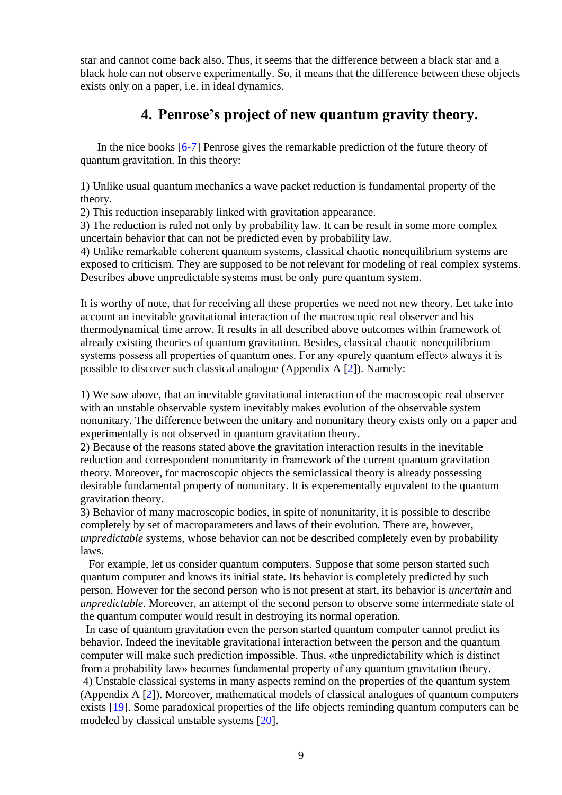star and cannot come back also. Thus, it seems that the difference between a black star and a black hole can not observe experimentally. So, it means that the difference between these objects exists only on a paper, i.e. in ideal dynamics.

# **4. Penrose's project of new quantum gravity theory.**

In the nice books [6-7] Penrose gives the remarkable prediction of the future theory of quantum gravitation. In this theory:

1) Unlike usual quantum mechanics a wave packet reduction is fundamental property of the theory.

2) This reduction inseparably linked with gravitation appearance.

3) The reduction is ruled not only by probability law. It can be result in some more complex uncertain behavior that can not be predicted even by probability law.

4) Unlike remarkable coherent quantum systems, classical chaotic nonequilibrium systems are exposed to criticism. They are supposed to be not relevant for modeling of real complex systems. Describes above unpredictable systems must be only pure quantum system.

It is worthy of note, that for receiving all these properties we need not new theory. Let take into account an inevitable gravitational interaction of the macroscopic real observer and his thermodynamical time arrow. It results in all described above outcomes within framework of already existing theories of quantum gravitation. Besides, classical chaotic nonequilibrium systems possess all properties of quantum ones. For any «purely quantum effect» always it is possible to discover such classical analogue (Appendix A [2]). Namely:

1) We saw above, that an inevitable gravitational interaction of the macroscopic real observer with an unstable observable system inevitably makes evolution of the observable system nonunitary. The difference between the unitary and nonunitary theory exists only on a paper and experimentally is not observed in quantum gravitation theory.

2) Because of the reasons stated above the gravitation interaction results in the inevitable reduction and correspondent nonunitarity in framework of the current quantum gravitation theory. Moreover, for macroscopic objects the semiclassical theory is already possessing desirable fundamental property of nonunitary. It is experementally equvalent to the quantum gravitation theory.

3) Behavior of many macroscopic bodies, in spite of nonunitarity, it is possible to describe completely by set of macroparameters and laws of their evolution. There are, however, *unpredictable* systems, whose behavior can not be described completely even by probability laws.

 For example, let us consider quantum computers. Suppose that some person started such quantum computer and knows its initial state. Its behavior is completely predicted by such person. However for the second person who is not present at start, its behavior is *uncertain* and *unpredictable*. Moreover, an attempt of the second person to observe some intermediate state of the quantum computer would result in destroying its normal operation.

 In case of quantum gravitation even the person started quantum computer cannot predict its behavior. Indeed the inevitable gravitational interaction between the person and the quantum computer will make such prediction impossible. Thus, «the unpredictability which is distinct from a probability law» becomes fundamental property of any quantum gravitation theory. 4) Unstable classical systems in many aspects remind on the properties of the quantum system (Appendix A [2]). Moreover, mathematical models of classical analogues of quantum computers exists [19]. Some paradoxical properties of the life objects reminding quantum computers can be

modeled by classical unstable systems [20].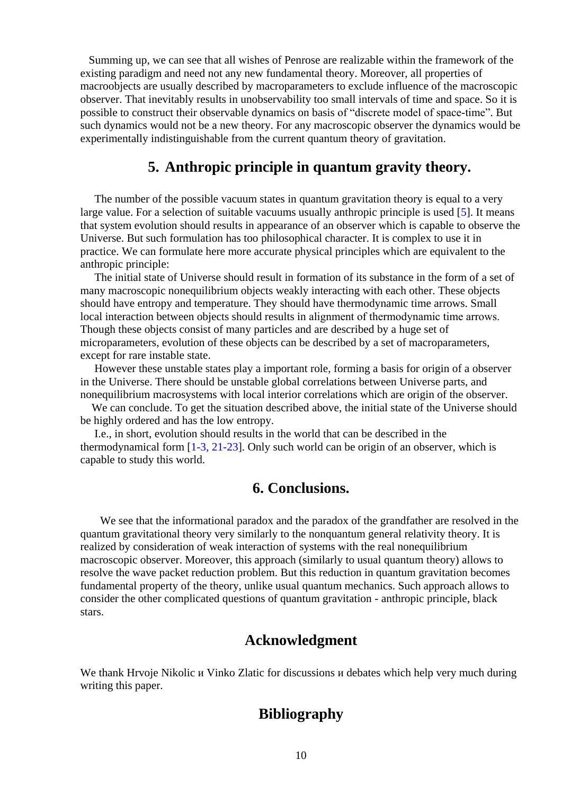Summing up, we can see that all wishes of Penrose are realizable within the framework of the existing paradigm and need not any new fundamental theory. Moreover, all properties of macroobjects are usually described by macroparameters to exclude influence of the macroscopic observer. That inevitably results in unobservability too small intervals of time and space. So it is possible to construct their observable dynamics on basis of "discrete model of space-time". But such dynamics would not be a new theory. For any macroscopic observer the dynamics would be experimentally indistinguishable from the current quantum theory of gravitation.

#### **5. Anthropic principle in quantum gravity theory.**

 The number of the possible vacuum states in quantum gravitation theory is equal to a very large value. For a selection of suitable vacuums usually anthropic principle is used [5]. It means that system evolution should results in appearance of an observer which is capable to observe the Universe. But such formulation has too philosophical character. It is complex to use it in practice. We can formulate here more accurate physical principles which are equivalent to the anthropic principle:

 The initial state of Universe should result in formation of its substance in the form of a set of many macroscopic nonequilibrium objects weakly interacting with each other. These objects should have entropy and temperature. They should have thermodynamic time arrows. Small local interaction between objects should results in alignment of thermodynamic time arrows. Though these objects consist of many particles and are described by a huge set of microparameters, evolution of these objects can be described by a set of macroparameters, except for rare instable state.

 However these unstable states play a important role, forming a basis for origin of a observer in the Universe. There should be unstable global correlations between Universe parts, and nonequilibrium macrosystems with local interior correlations which are origin of the observer.

 We can conclude. To get the situation described above, the initial state of the Universe should be highly ordered and has the low entropy.

 I.e., in short, evolution should results in the world that can be described in the thermodynamical form [1-3, 21-23]. Only such world can be origin of an observer, which is capable to study this world.

### **6. Conclusions.**

 We see that the informational paradox and the paradox of the grandfather are resolved in the quantum gravitational theory very similarly to the nonquantum general relativity theory. It is realized by consideration of weak interaction of systems with the real nonequilibrium macroscopic observer. Moreover, this approach (similarly to usual quantum theory) allows to resolve the wave packet reduction problem. But this reduction in quantum gravitation becomes fundamental property of the theory, unlike usual quantum mechanics. Such approach allows to consider the other complicated questions of quantum gravitation - anthropic principle, black stars.

### **Acknowledgment**

We thank Hrvoje Nikolic *и* Vinko Zlatic for discussions *и* debates which help very much during writing this paper.

# **Bibliography**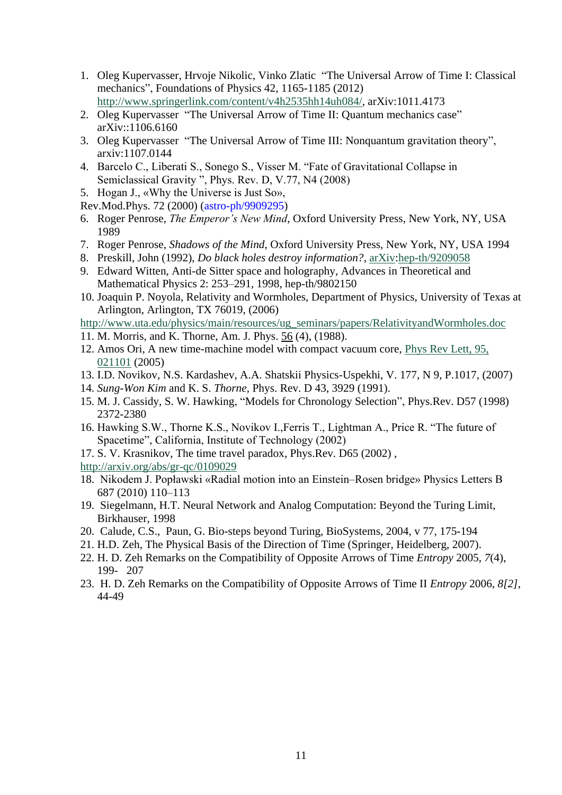- 1. Oleg Kupervasser, Hrvoje Nikolic, Vinko Zlatic "The Universal Arrow of Time I: Classical mechanics", Foundations of Physics 42, 1165-1185 (2012) [http://www.springerlink.com/content/v4h2535hh14uh084/,](http://www.springerlink.com/content/v4h2535hh14uh084/) arXiv:1011.4173
- 2. [Oleg Kupervasser](http://arxiv.org/find/cond-mat/1/au:+Kupervasser_O/0/1/0/all/0/1) "The Universal Arrow of Time II: Quantum mechanics case" arXiv::1106.6160
- 3. Oleg Kupervasser "The Universal Arrow of Time III: Nonquantum gravitation theory", arxiv:1107.0144
- 4. Barcelo C., Liberati S., Sonego S., Visser M. "Fate of Gravitational Collapse in Semiclassical Gravity ", Phys. Rev. D, V.77, N4 (2008)
- 5. Hogan J., «Why the Universe is Just So»,
- Rev.Mod.Phys. 72 (2000) (astro-ph/9909295)
- 6. Roger Penrose, *The Emperor's New Mind*, Oxford University Press, New York, NY, USA 1989
- 7. Roger Penrose, *Shadows of the Mind*, Oxford University Press, New York, NY, USA 1994
- 8. Preskill, John (1992), *Do black holes destroy information?*, [arXiv:](http://en.wikipedia.org/wiki/ArXiv)[hep-th/9209058](http://arxiv.org/abs/hep-th/9209058)
- 9. Edward Witten, Anti-de Sitter space and holography, Advances in Theoretical and Mathematical Physics 2: 253–291, 1998, hep-th/9802150
- 10. Joaquin P. Noyola, Relativity and Wormholes, Department of Physics, University of Texas at Arlington, Arlington, TX 76019, (2006)
- [http://www.uta.edu/physics/main/resources/ug\\_seminars/papers/RelativityandWormholes.doc](http://www.uta.edu/physics/main/resources/ug_seminars/papers/RelativityandWormholes.doc)
- 11. M. Morris, and K. Thorne, Am. J. Phys. 56 (4), (1988).
- 12. Amos Ori, A new time-machine model with compact vacuum core, [Phys Rev Lett, 95,](http://arxiv.org/ct?url=http%3A%2F%2Fdx.doi.org%2F10%252E1103%2FPhysRevLett%252E95%252E021101&v=dadb9d9b)  [021101](http://arxiv.org/ct?url=http%3A%2F%2Fdx.doi.org%2F10%252E1103%2FPhysRevLett%252E95%252E021101&v=dadb9d9b) (2005)
- 13. I.D. Novikov, N.S. Kardashev, A.A. Shatskii Physics-Uspekhi, V. 177, N 9, P.1017, (2007)
- 14. *Sung*-*Won Kim* and K. S. *Thorne*, Phys. Rev. D 43, 3929 (1991).
- 15. M. J. Cassidy, S. W. Hawking, "Models for Chronology Selection", Phys.Rev. D57 (1998) 2372-2380
- 16. Hawking S.W., Thorne K.S., Novikov I.,Ferris T., Lightman A., Price R. "The future of Spacetime", California, Institute of Technology (2002)
- 17. S. V. Krasnikov, The time travel paradox, Phys.Rev. D65 (2002) ,
- <http://arxiv.org/abs/gr-qc/0109029>
- 18. Nikodem J. Popławski «Radial motion into an Einstein–Rosen bridge» Physics Letters B 687 (2010) 110–113
- 19. Siegelmann, H.T. Neural Network and Analog Computation: Beyond the Turing Limit, Birkhauser, 1998
- 20. Calude, C.S., Paun, G. Bio-steps beyond Turing, BioSystems, 2004, v 77, 175-194
- 21. H.D. Zeh, The Physical Basis of the Direction of Time (Springer, Heidelberg, 2007).
- 22. H. D. Zeh Remarks on the Compatibility of Opposite Arrows of Time *Entropy* 2005, *7*(4), 199- 207
- 23. H. D. Zeh Remarks on the Compatibility of Opposite Arrows of Time II *Entropy* 2006, *8[2]*, 44-49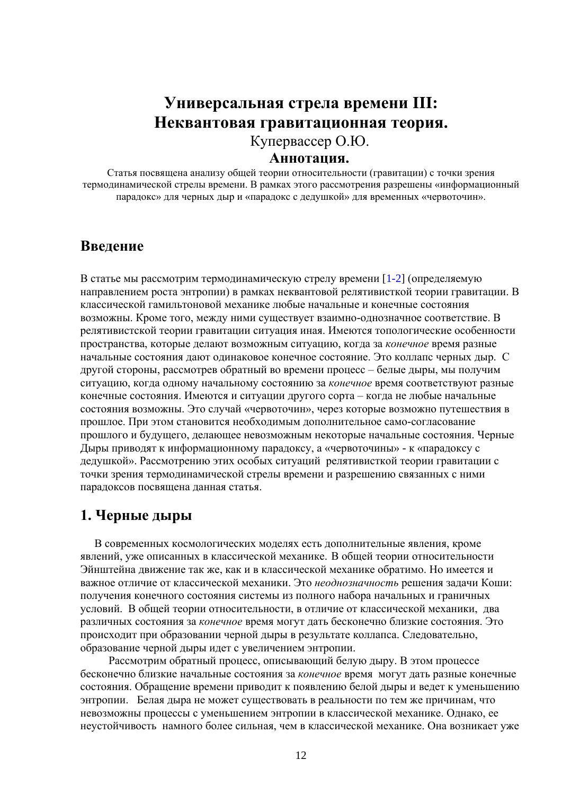# **Универсальная стрела времени III: Неквантовая гравитационная теория.**

Купервассер О.Ю.

#### **Аннотация.**

Статья посвящена анализу общей теории относительности (гравитации) с точки зрения термодинамической стрелы времени. В рамках этого рассмотрения разрешены «информационный парадокс» для черных дыр и «парадокс с дедушкой» для временных «червоточин».

#### **Введение**

В статье мы рассмотрим термодинамическую стрелу времени [1-2] (определяемую направлением роста энтропии) в рамках неквантовой релятивисткой теории гравитации. В классической гамильтоновой механике любые начальные и конечные состояния возможны. Кроме того, между ними существует взаимно-однозначное соответствие. В релятивистской теории гравитации ситуация иная. Имеются топологические особенности пространства, которые делают возможным ситуацию, когда за *конечное* время разные начальные состояния дают одинаковое конечное состояние. Это коллапс черных дыр. С другой стороны, рассмотрев обратный во времени процесс – белые дыры, мы получим ситуацию, когда одному начальному состоянию за *конечное* время соответствуют разные конечные состояния. Имеются и ситуации другого сорта – когда не любые начальные состояния возможны. Это случай «червоточин», через которые возможно путешествия в прошлое. При этом становится необходимым дополнительное само-согласование прошлого и будущего, делающее невозможным некоторые начальные состояния. Черные Дыры приводят к информационному парадоксу, а «червоточины» - к «парадоксу с дедушкой». Рассмотрению этих особых ситуаций релятивисткой теории гравитации с точки зрения термодинамической стрелы времени и разрешению связанных с ними парадоксов посвящена данная статья.

### **1. Черные дыры**

 В современных космологических моделях есть дополнительные явления, кроме явлений, уже описанных в классической механике. В общей теории относительности Эйнштейна движение так же, как и в классической механике обратимо. Но имеется и важное отличие от классической механики. Это *неоднозначность* решения задачи Коши: получения конечного состояния системы из полного набора начальных и граничных условий. В общей теории относительности, в отличие от классической механики, два различных состояния за *конечное* время могут дать бесконечно близкие состояния. Это происходит при образовании черной дыры в результате коллапса. Следовательно, образование черной дыры идет с увеличением энтропии.

 Рассмотрим обратный процесс, описывающий белую дыру. В этом процессе бесконечно близкие начальные состояния за *конечное* время могут дать разные конечные состояния. Обращение времени приводит к появлению белой дыры и ведет к уменьшению энтропии. Белая дыра не может существовать в реальности по тем же причинам, что невозможны процессы с уменьшением энтропии в классической механике. Однако, ее неустойчивость намного более сильная, чем в классической механике. Она возникает уже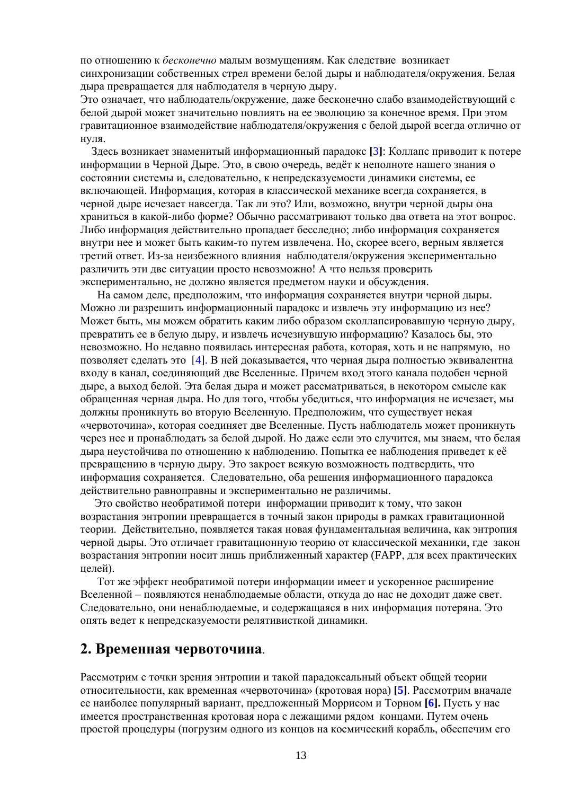по отношению к *бесконечно* малым возмущениям. Как следствие возникает синхронизации собственных стрел времени белой дыры и наблюдателя/окружения. Белая дыра превращается для наблюдателя в черную дыру.

Это означает, что наблюдатель/окружение, даже бесконечно слабо взаимодействующий с белой дырой может значительно повлиять на ее эволюцию за конечное время. При этом гравитационное взаимодействие наблюдателя/окружения с белой дырой всегда отлично от нуля.

 Здесь возникает знаменитый информационный парадокс **[**3**]**: Коллапс приводит к потере информации в Черной Дыре. Это, в свою очередь, ведёт к неполноте нашего знания о состоянии системы и, следовательно, к непредсказуемости динамики системы, ее включающей. Информация, которая в классической механике всегда сохраняется, в черной дыре исчезает навсегда. Так ли это? Или, возможно, внутри черной дыры она храниться в какой-либо форме? Обычно рассматривают только два ответа на этот вопрос. Либо информация действительно пропадает бесследно; либо информация сохраняется внутри нее и может быть каким-то путем извлечена. Но, скорее всего, верным является третий ответ. Из-за неизбежного влияния наблюдателя/окружения экспериментально различить эти две ситуации просто невозможно! А что нельзя проверить экспериментально, не должно является предметом науки и обсуждения.

 На самом деле, предположим, что информация сохраняется внутри черной дыры. Можно ли разрешить информационный парадокс и извлечь эту информацию из нее? Может быть, мы можем обратить каким либо образом сколлапсировавшую черную дыру, превратить ее в белую дыру, и извлечь исчезнувшую информацию? Казалось бы, это невозможно. Но недавно появилась интересная работа, которая, хоть и не напрямую, но позволяет сделать это [4]. В ней доказывается, что черная дыра полностью эквивалентна входу в канал, соединяющий две Вселенные. Причем вход этого канала подобен черной дыре, а выход белой. Эта белая дыра и может рассматриваться, в некотором смысле как обращенная черная дыра. Но для того, чтобы убедиться, что информация не исчезает, мы должны проникнуть во вторую Вселенную. Предположим, что существует некая «червоточина», которая соединяет две Вселенные. Пусть наблюдатель может проникнуть через нее и пронаблюдать за белой дырой. Но даже если это случится, мы знаем, что белая дыра неустойчива по отношению к наблюдению. Попытка ее наблюдения приведет к её превращению в черную дыру. Это закроет всякую возможность подтвердить, что информация сохраняется. Следовательно, оба решения информационного парадокса действительно равноправны и экспериментально не различимы.

 Это свойство необратимой потери информации приводит к тому, что закон возрастания энтропии превращается в точный закон природы в рамках гравитационной теории. Действительно, появляется такая новая фундаментальная величина, как энтропия черной дыры. Это отличает гравитационную теорию от классической механики, где закон возрастания энтропии носит лишь приближенный характер (FAPP, для всех практических целей).

 Тот же эффект необратимой потери информации имеет и ускоренное расширение Вселенной – появляются ненаблюдаемые области, откуда до нас не доходит даже свет. Следовательно, они ненаблюдаемые, и содержащаяся в них информация потеряна. Это опять ведет к непредсказуемости релятивисткой динамики.

#### **2. Временная червоточина**.

Рассмотрим с точки зрения энтропии и такой парадоксальный объект общей теории относительности, как временная «червоточина» (кротовая нора) **[5]**. Рассмотрим вначале ее наиболее популярный вариант, предложенный Моррисом и Торном **[6].** Пусть у нас имеется пространственная кротовая нора с лежащими рядом концами. Путем очень простой процедуры (погрузим одного из концов на космический корабль, обеспечим его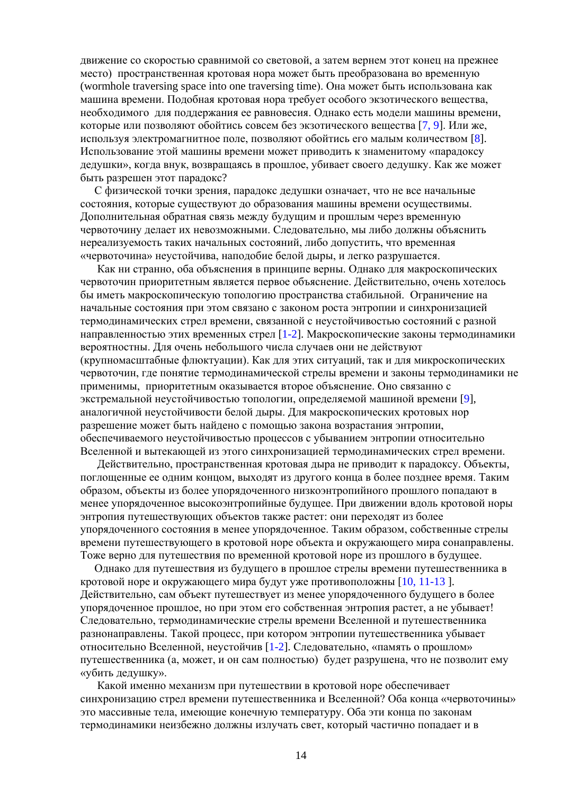движение со скоростью сравнимой со световой, а затем вернем этот конец на прежнее место) пространственная кротовая нора может быть преобразована во временную (wormhole traversing space into one traversing time). Она может быть использована как машина времени. Подобная кротовая нора требует особого экзотического вещества, необходимого для поддержания ее равновесия. Однако есть модели машины времени, которые или позволяют обойтись совсем без экзотического вещества [7, 9]. Или же, используя электромагнитное поле, позволяют обойтись его малым количеством [8]. Использование этой машины времени может приводить к знаменитому «парадоксу дедушки», когда внук, возвращаясь в прошлое, убивает своего дедушку. Как же может быть разрешен этот парадокс?

 С физической точки зрения, парадокс дедушки означает, что не все начальные состояния, которые существуют до образования машины времени осуществимы. Дополнительная обратная связь между будущим и прошлым через временную червоточину делает их невозможными. Следовательно, мы либо должны объяснить нереализуемость таких начальных состояний, либо допустить, что временная «червоточина» неустойчива, наподобие белой дыры, и легко разрушается.

 Как ни странно, оба объяснения в принципе верны. Однако для макроскопических червоточин приоритетным является первое объяснение. Действительно, очень хотелось бы иметь макроскопическую топологию пространства стабильной. Ограничение на начальные состояния при этом связано с законом роста энтропии и синхронизацией термодинамических стрел времени, связанной с неустойчивостью состояний с разной направленностью этих временных стрел [1-2]. Макроскопические законы термодинамики вероятностны. Для очень небольшого числа случаев они не действуют (крупномасштабные флюктуации). Как для этих ситуаций, так и для микроскопических червоточин, где понятие термодинамической стрелы времени и законы термодинамики не применимы, приоритетным оказывается второе объяснение. Оно связанно с экстремальной неустойчивостью топологии, определяемой машиной времени [9], аналогичной неустойчивости белой дыры. Для макроскопических кротовых нор разрешение может быть найдено с помощью закона возрастания энтропии, обеспечиваемого неустойчивостью процессов с убыванием энтропии относительно Вселенной и вытекающей из этого синхронизацией термодинамических стрел времени.

 Действительно, пространственная кротовая дыра не приводит к парадоксу. Объекты, поглощенные ее одним концом, выходят из другого конца в более позднее время. Таким образом, объекты из более упорядоченного низкоэнтропийного прошлого попадают в менее упорядоченное высокоэнтропийные будущее. При движении вдоль кротовой норы энтропия путешествующих объектов также растет: они переходят из более упорядоченного состояния в менее упорядоченное. Таким образом, собственные стрелы времени путешествующего в кротовой норе объекта и окружающего мира сонаправлены. Тоже верно для путешествия по временной кротовой норе из прошлого в будущее.

 Однако для путешествия из будущего в прошлое стрелы времени путешественника в кротовой норе и окружающего мира будут уже противоположны [10, 11-13 ]. Действительно, сам объект путешествует из менее упорядоченного будущего в более упорядоченное прошлое, но при этом его собственная энтропия растет, а не убывает! Следовательно, термодинамические стрелы времени Вселенной и путешественника разнонаправлены. Такой процесс, при котором энтропии путешественника убывает относительно Вселенной, неустойчив [1-2]. Следовательно, «память о прошлом» путешественника (а, может, и он сам полностью) будет разрушена, что не позволит ему «убить дедушку».

 Какой именно механизм при путешествии в кротовой норе обеспечивает синхронизацию стрел времени путешественника и Вселенной? Оба конца «червоточины» это массивные тела, имеющие конечную температуру. Оба эти конца по законам термодинамики неизбежно должны излучать свет, который частично попадает и в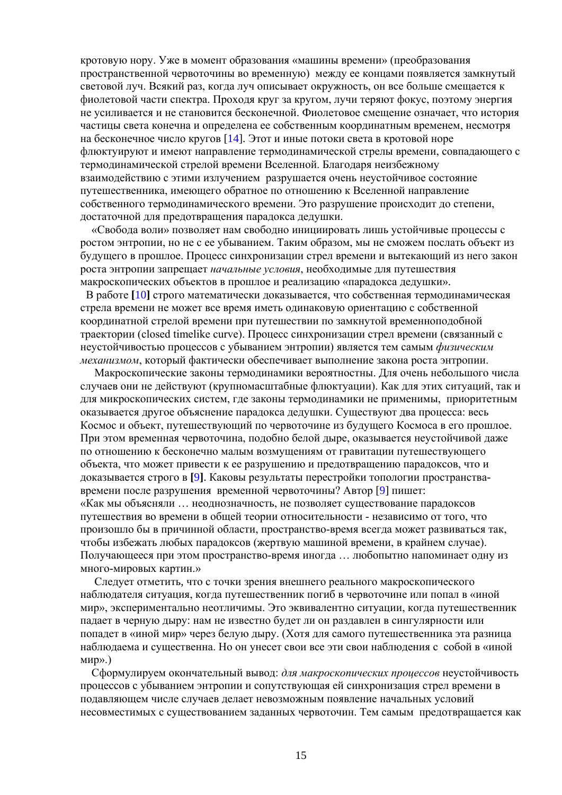кротовую нору. Уже в момент образования «машины времени» (преобразования пространственной червоточины во временную) между ее концами появляется замкнутый световой луч. Всякий раз, когда луч описывает окружность, он все больше смещается к фиолетовой части спектра. Проходя круг за кругом, лучи теряют фокус, поэтому энергия не усиливается и не становится бесконечной. Фиолетовое смещение означает, что история частицы света конечна и определена ее собственным координатным временем, несмотря на бесконечное число кругов [14]. Этот и иные потоки света в кротовой норе флюктуируют и имеют направление термодинамической стрелы времени, совпадающего с термодинамической стрелой времени Вселенной. Благодаря неизбежному взаимодействию с этими излучением разрушается очень неустойчивое состояние путешественника, имеющего обратное по отношению к Вселенной направление собственного термодинамического времени. Это разрушение происходит до степени, достаточной для предотвращения парадокса дедушки.

 «Свобода воли» позволяет нам свободно инициировать лишь устойчивые процессы с ростом энтропии, но не с ее убыванием. Таким образом, мы не сможем послать объект из будущего в прошлое. Процесс синхронизации стрел времени и вытекающий из него закон роста энтропии запрещает *начальные условия*, необходимые для путешествия макроскопических объектов в прошлое и реализацию «парадокса дедушки».

 В работе **[**10**]** строго математически доказывается, что собственная термодинамическая стрела времени не может все время иметь одинаковую ориентацию с собственной координатной стрелой времени при путешествии по замкнутой временноподобной траектории (closed timelike curve). Процесс синхронизации стрел времени (связанный с неустойчивостью процессов с убыванием энтропии) является тем самым *физическим механизмом*, который фактически обеспечивает выполнение закона роста энтропии.

 Макроскопические законы термодинамики вероятностны. Для очень небольшого числа случаев они не действуют (крупномасштабные флюктуации). Как для этих ситуаций, так и для микроскопических систем, где законы термодинамики не применимы, приоритетным оказывается другое объяснение парадокса дедушки. Существуют два процесса: весь Космос и объект, путешествующий по червоточине из будущего Космоса в его прошлое. При этом временная червоточина, подобно белой дыре, оказывается неустойчивой даже по отношению к бесконечно малым возмущениям от гравитации путешествующего объекта, что может привести к ее разрушению и предотвращению парадоксов, что и доказывается строго в **[**9**]**. Каковы результаты перестройки топологии пространствавремени после разрушения временной червоточины? Автор [9] пишет: «Как мы объясняли … неоднозначность, не позволяет существование парадоксов путешествия во времени в общей теории относительности - независимо от того, что произошло бы в причинной области, пространство-время всегда может развиваться так, чтобы избежать любых парадоксов (жертвую машиной времени, в крайнем случае). Получающееся при этом пространство-время иногда … любопытно напоминает одну из много-мировых картин.»

 Следует отметить, что с точки зрения внешнего реального макроскопического наблюдателя ситуация, когда путешественник погиб в червоточине или попал в «иной мир», экспериментально неотличимы. Это эквивалентно ситуации, когда путешественник падает в черную дыру: нам не известно будет ли он раздавлен в сингулярности или попадет в «иной мир» через белую дыру. (Хотя для самого путешественника эта разница наблюдаема и существенна. Но он унесет свои все эти свои наблюдения с собой в «иной мир».)

 Сформулируем окончательный вывод: *для макроскопических процессов* неустойчивость процессов с убыванием энтропии и сопутствующая ей синхронизация стрел времени в подавляющем числе случаев делает невозможным появление начальных условий несовместимых с существованием заданных червоточин. Тем самым предотвращается как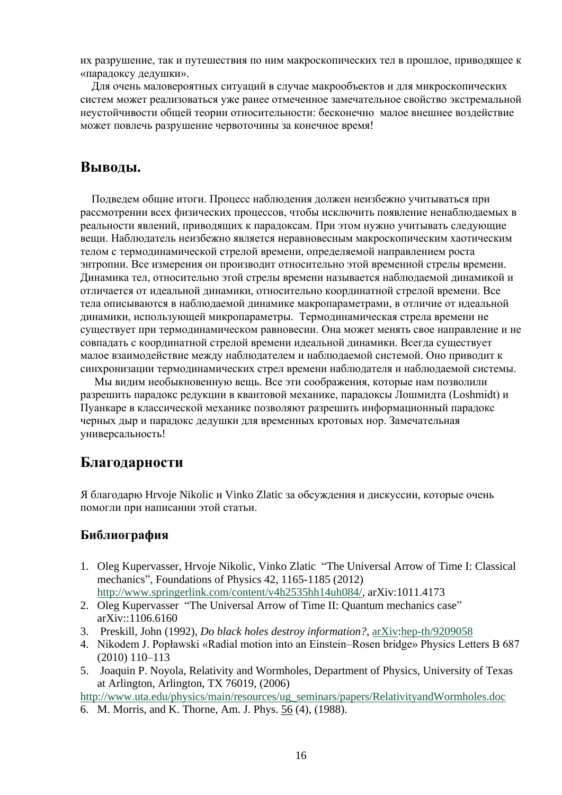их разрушение, так и путешествия по ним макроскопических тел в прошлое, приводящее к «парадоксу дедушки».

 Для очень маловероятных ситуаций в случае макрообъектов и для микроскопических систем может реализоваться уже ранее отмеченное замечательное свойство экстремальной неустойчивости общей теории относительности: бесконечно малое внешнее воздействие может повлечь разрушение червоточины за конечное время!

# **Выводы.**

 Подведем общие итоги. Процесс наблюдения должен неизбежно учитываться при рассмотрении всех физических процессов, чтобы исключить появление ненаблюдаемых в реальности явлений, приводящих к парадоксам. При этом нужно учитывать следующие вещи. Наблюдатель неизбежно является неравновесным макроскопическим хаотическим телом с термодинамической стрелой времени, определяемой направлением роста энтропии. Все измерения он производит относительно этой временной стрелы времени. Динамика тел, относительно этой стрелы времени называется наблюдаемой динамикой и отличается от идеальной динамики, относительно координатной стрелой времени. Все тела описываются в наблюдаемой динамике макропараметрами, в отличие от идеальной динамики, использующей микропараметры. Термодинамическая стрела времени не существует при термодинамическом равновесии. Она может менять свое направление и не совпадать с координатной стрелой времени идеальной динамики. Всегда существует малое взаимодействие между наблюдателем и наблюдаемой системой. Оно приводит к синхронизации термодинамических стрел времени наблюдателя и наблюдаемой системы.

 Мы видим необыкновенную вещь. Все эти соображения, которые нам позволили разрешить парадокс редукции в квантовой механике, парадоксы Лошмидта (Loshmidt) и Пуанкаре в классической механике позволяют разрешить информационный парадокс черных дыр и парадокс дедушки для временных кротовых нор. Замечательная универсальность!

# **Благодарности**

Я благодарю Hrvoje Nikolic и Vinko Zlatic за обсуждения и дискуссии, которые очень помогли при написании этой статьи.

#### **Библиография**

- 1. Oleg Kupervasser, Hrvoje Nikolic, Vinko Zlatic "The Universal Arrow of Time I: Classical mechanics", Foundations of Physics 42, 1165-1185 (2012) [http://www.springerlink.com/content/v4h2535hh14uh084/,](http://www.springerlink.com/content/v4h2535hh14uh084/) arXiv:1011.4173
- 2. Oleg Kupervasser "The Universal Arrow of Time II: Quantum mechanics case" arXiv::1106.6160
- 3. Preskill, John (1992), *Do black holes destroy information?*, [arXiv:](http://en.wikipedia.org/wiki/ArXiv)[hep-th/9209058](http://arxiv.org/abs/hep-th/9209058)
- 4. Nikodem J. Popławski «Radial motion into an Einstein–Rosen bridge» Physics Letters B 687 (2010) 110–113
- 5. Joaquin P. Noyola, Relativity and Wormholes, Department of Physics, University of Texas at Arlington, Arlington, TX 76019, (2006)

[http://www.uta.edu/physics/main/resources/ug\\_seminars/papers/RelativityandWormholes.doc](http://www.uta.edu/physics/main/resources/ug_seminars/papers/RelativityandWormholes.doc)

6. M. Morris, and K. Thorne, Am. J. Phys. 56 (4), (1988).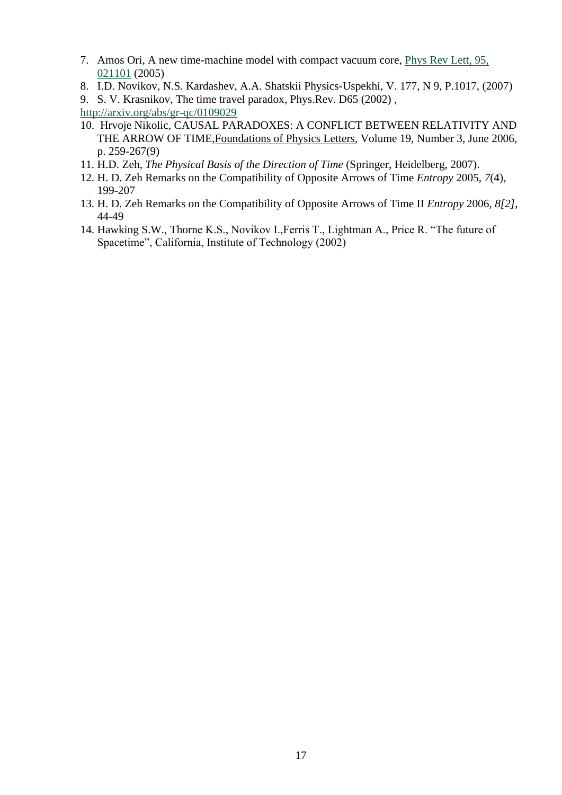- 7. Amos Ori, A new time-machine model with compact vacuum core, [Phys Rev Lett, 95,](http://arxiv.org/ct?url=http%3A%2F%2Fdx.doi.org%2F10%252E1103%2FPhysRevLett%252E95%252E021101&v=dadb9d9b)  [021101](http://arxiv.org/ct?url=http%3A%2F%2Fdx.doi.org%2F10%252E1103%2FPhysRevLett%252E95%252E021101&v=dadb9d9b) (2005)
- 8. I.D. Novikov, N.S. Kardashev, A.A. Shatskii Physics-Uspekhi, V. 177, N 9, P.1017, (2007)
- 9. S. V. Krasnikov, The time travel paradox, Phys.Rev. D65 (2002) ,

<http://arxiv.org/abs/gr-qc/0109029>

- 10. Hrvoje Nikolic, CAUSAL PARADOXES: A CONFLICT BETWEEN RELATIVITY AND THE ARROW OF TIME[,Foundations of Physics Letters,](http://www.ingentaconnect.com/content/klu/fopl;jsessionid=1hraqop7oafa7.alice) Volume 19, Number 3, June 2006, p. 259-267(9)
- 11. H.D. Zeh, *The Physical Basis of the Direction of Time* (Springer, Heidelberg, 2007).
- 12. H. D. Zeh Remarks on the Compatibility of Opposite Arrows of Time *Entropy* 2005, *7*(4), 199-207
- 13. H. D. Zeh Remarks on the Compatibility of Opposite Arrows of Time II *Entropy* 2006, *8[2]*, 44-49
- 14. Hawking S.W., Thorne K.S., Novikov I.,Ferris T., Lightman A., Price R. "The future of Spacetime", California, Institute of Technology (2002)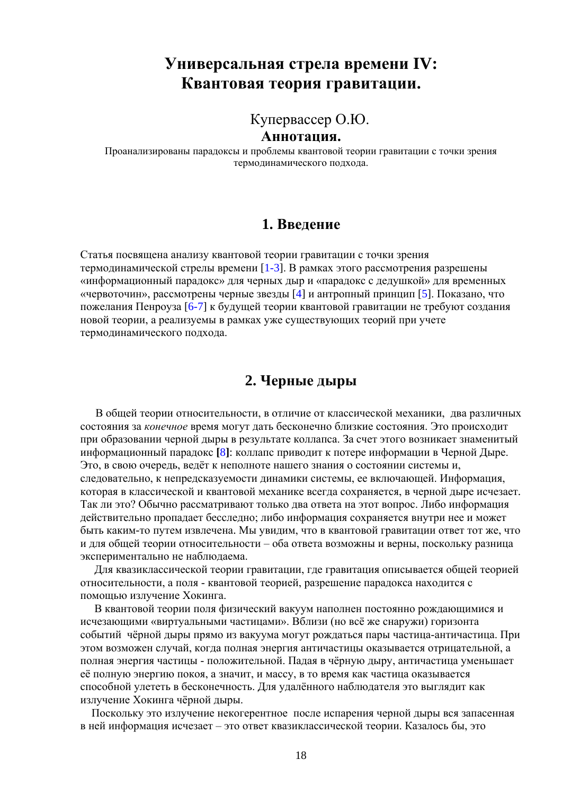# **Универсальная стрела времени IV: Квантовая теория гравитации.**

Купервассер О.Ю.

**Аннотация.**

Проанализированы парадоксы и проблемы квантовой теории гравитации с точки зрения термодинамического подхода.

### **1. Введение**

Статья посвящена анализу квантовой теории гравитации с точки зрения термодинамической стрелы времени  $[1-3]$ . В рамках этого рассмотрения разрешены «информационный парадокс» для черных дыр и «парадокс с дедушкой» для временных «червоточин», рассмотрены черные звезды [4] и антропный принцип [5]. Показано, что пожелания Пенроуза [6-7] к будущей теории квантовой гравитации не требуют создания новой теории, а реализуемы в рамках уже существующих теорий при учете термодинамического подхода.

# **2. Черные дыры**

 В общей теории относительности, в отличие от классической механики, два различных состояния за *конечное* время могут дать бесконечно близкие состояния. Это происходит при образовании черной дыры в результате коллапса. За счет этого возникает знаменитый информационный парадокс **[**8**]**: коллапс приводит к потере информации в Черной Дыре. Это, в свою очередь, ведёт к неполноте нашего знания о состоянии системы и, следовательно, к непредсказуемости динамики системы, ее включающей. Информация, которая в классической и квантовой механике всегда сохраняется, в черной дыре исчезает. Так ли это? Обычно рассматривают только два ответа на этот вопрос. Либо информация действительно пропадает бесследно; либо информация сохраняется внутри нее и может быть каким-то путем извлечена. Мы увидим, что в квантовой гравитации ответ тот же, что и для общей теории относительности – оба ответа возможны и верны, поскольку разница экспериментально не наблюдаема.

 Для квазиклассической теории гравитации, где гравитация описывается общей теорией относительности, а поля - квантовой теорией, разрешение парадокса находится с помощью излучение Хокинга.

 В квантовой теории поля физический вакуум наполнен постоянно рождающимися и исчезающими «виртуальными частицами». Вблизи (но всё же снаружи) горизонта событий чёрной дыры прямо из вакуума могут рождаться пары частица-античастица. При этом возможен случай, когда полная энергия античастицы оказывается отрицательной, а полная энергия частицы - положительной. Падая в чёрную дыру, античастица уменьшает её полную энергию покоя, а значит, и массу, в то время как частица оказывается способной улететь в бесконечность. Для удалённого наблюдателя это выглядит как излучение Хокинга чёрной дыры.

 Поскольку это излучение некогерентное после испарения черной дыры вся запасенная в ней информация исчезает – это ответ квазиклассической теории. Казалось бы, это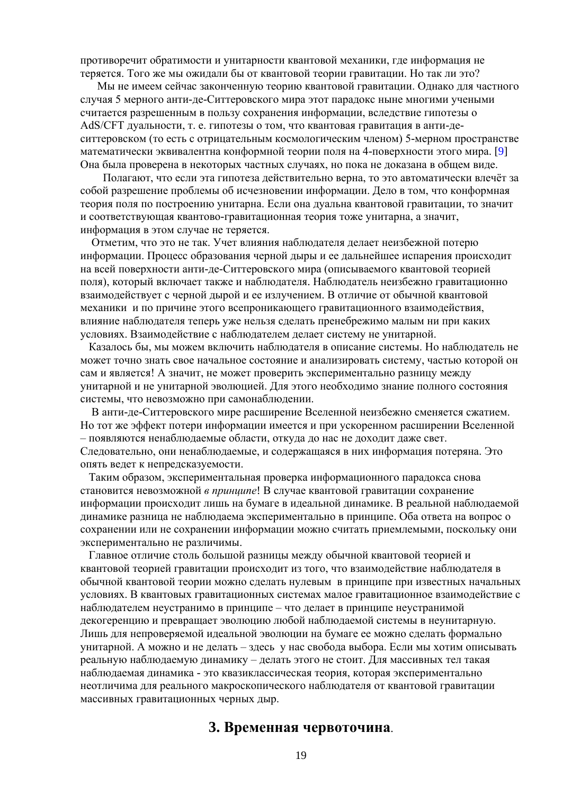противоречит обратимости и унитарности квантовой механики, где информация не теряется. Того же мы ожидали бы от квантовой теории гравитации. Но так ли это?

 Мы не имеем сейчас законченную теорию квантовой гравитации. Однако для частного случая 5 мерного анти-де-Ситтеровского мира этот парадокс ныне многими учеными считается разрешенным в пользу сохранения информации, вследствие гипотезы о AdS/CFT дуальности, т. е. гипотезы о том, что квантовая гравитация в анти-деситтеровском (то есть с отрицательным космологическим членом) 5-мерном пространстве математически эквивалентна конформной теории поля на 4-поверхности этого мира. [9] Она была проверена в некоторых частных случаях, но пока не доказана в общем виде.

 Полагают, что если эта гипотеза действительно верна, то это автоматически влечёт за собой разрешение проблемы об исчезновении информации. Дело в том, что конформная теория поля по построению унитарна. Если она дуальна квантовой гравитации, то значит и соответствующая квантово-гравитационная теория тоже унитарна, а значит, информация в этом случае не теряется.

 Отметим, что это не так. Учет влияния наблюдателя делает неизбежной потерю информации. Процесс образования черной дыры и ее дальнейшее испарения происходит на всей поверхности анти-де-Ситтеровского мира (описываемого квантовой теорией поля), который включает также и наблюдателя. Наблюдатель неизбежно гравитационно взаимодействует с черной дырой и ее излучением. В отличие от обычной квантовой механики и по причине этого всепроникающего гравитационного взаимодействия, влияние наблюдателя теперь уже нельзя сделать пренебрежимо малым ни при каких условиях. Взаимодействие с наблюдателем делает систему не унитарной.

 Казалось бы, мы можем включить наблюдателя в описание системы. Но наблюдатель не может точно знать свое начальное состояние и анализировать систему, частью которой он сам и является! А значит, не может проверить экспериментально разницу между унитарной и не унитарной эволюцией. Для этого необходимо знание полного состояния системы, что невозможно при самонаблюдении.

 В анти-де-Ситтеровского мире расширение Вселенной неизбежно сменяется сжатием. Но тот же эффект потери информации имеется и при ускоренном расширении Вселенной – появляются ненаблюдаемые области, откуда до нас не доходит даже свет. Следовательно, они ненаблюдаемые, и содержащаяся в них информация потеряна. Это опять ведет к непредсказуемости.

 Таким образом, экспериментальная проверка информационного парадокса снова становится невозможной *в принципе*! В случае квантовой гравитации сохранение информации происходит лишь на бумаге в идеальной динамике. В реальной наблюдаемой динамике разница не наблюдаема экспериментально в принципе. Оба ответа на вопрос о сохранении или не сохранении информации можно считать приемлемыми, поскольку они экспериментально не различимы.

 Главное отличие столь большой разницы между обычной квантовой теорией и квантовой теорией гравитации происходит из того, что взаимодействие наблюдателя в обычной квантовой теории можно сделать нулевым в принципе при известных начальных условиях. В квантовых гравитационных системах малое гравитационное взаимодействие с наблюдателем неустранимо в принципе – что делает в принципе неустранимой декогеренцию и превращает эволюцию любой наблюдаемой системы в неунитарную. Лишь для непроверяемой идеальной эволюции на бумаге ее можно сделать формально унитарной. А можно и не делать – здесь у нас свобода выбора. Если мы хотим описывать реальную наблюдаемую динамику – делать этого не стоит. Для массивных тел такая наблюдаемая динамика - это квазиклассическая теория, которая экспериментально неотличима для реального макроскопического наблюдателя от квантовой гравитации массивных гравитационных черных дыр.

# **3. Временная червоточина**.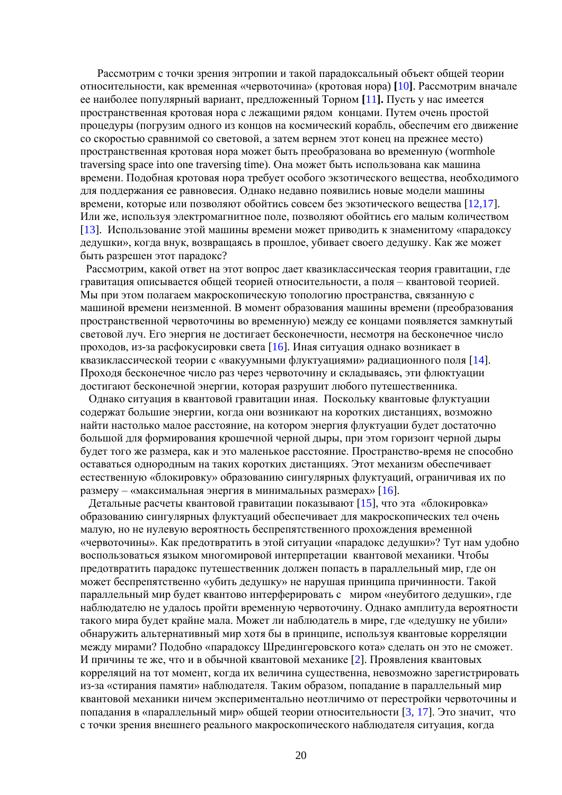Рассмотрим с точки зрения энтропии и такой парадоксальный объект общей теории относительности, как временная «червоточина» (кротовая нора) **[**10**]**. Рассмотрим вначале ее наиболее популярный вариант, предложенный Торном **[**11**].** Пусть у нас имеется пространственная кротовая нора с лежащими рядом концами. Путем очень простой процедуры (погрузим одного из концов на космический корабль, обеспечим его движение со скоростью сравнимой со световой, а затем вернем этот конец на прежнее место) пространственная кротовая нора может быть преобразована во временную (wormhole traversing space into one traversing time). Она может быть использована как машина времени. Подобная кротовая нора требует особого экзотического вещества, необходимого для поддержания ее равновесия. Однако недавно появились новые модели машины времени, которые или позволяют обойтись совсем без экзотического вещества [12,17]. Или же, используя электромагнитное поле, позволяют обойтись его малым количеством [13]. Использование этой машины времени может приводить к знаменитому «парадоксу дедушки», когда внук, возвращаясь в прошлое, убивает своего дедушку. Как же может быть разрешен этот парадокс?

 Рассмотрим, какой ответ на этот вопрос дает квазиклассическая теория гравитации, где гравитация описывается общей теорией относительности, а поля – квантовой теорией. Мы при этом полагаем макроскопическую топологию пространства, связанную с машиной времени неизменной. В момент образования машины времени (преобразования пространственной червоточины во временную) между ее концами появляется замкнутый световой луч. Его энергия не достигает бесконечности, несмотря на бесконечное число проходов, из-за расфокусировки света [16]. Иная ситуация однако возникает в квазиклассической теории с «вакуумными флуктуациями» радиационного поля [14]. Проходя бесконечное число раз через червоточину и складываясь, эти флюктуации достигают бесконечной энергии, которая разрушит любого путешественника.

 Однако ситуация в квантовой гравитации иная. Поскольку квантовые флуктуации содержат большие энергии, когда они возникают на коротких дистанциях, возможно найти настолько малое расстояние, на котором энергия флуктуации будет достаточно большой для формирования крошечной черной дыры, при этом горизонт черной дыры будет того же размера, как и это маленькое расстояние. Пространство-время не способно оставаться однородным на таких коротких дистанциях. Этот механизм обеспечивает естественную «блокировку» образованию сингулярных флуктуаций, ограничивая их по размеру – «максимальная энергия в минимальных размерах» [16].

 Детальные расчеты квантовой гравитации показывают [15], что эта «блокировка» образованию сингулярных флуктуаций обеспечивает для макроскопических тел очень малую, но не нулевую вероятность беспрепятственного прохождения временной «червоточины». Как предотвратить в этой ситуации «парадокс дедушки»? Тут нам удобно воспользоваться языком многомировой интерпретации квантовой механики. Чтобы предотвратить парадокс путешественник должен попасть в параллельный мир, где он может беспрепятственно «убить дедушку» не нарушая принципа причинности. Такой параллельный мир будет квантово интерферировать с миром «неубитого дедушки», где наблюдателю не удалось пройти временную червоточину. Однако амплитуда вероятности такого мира будет крайне мала. Может ли наблюдатель в мире, где «дедушку не убили» обнаружить альтернативный мир хотя бы в принципе, используя квантовые корреляции между мирами? Подобно «парадоксу Шредингеровского кота» сделать он это не сможет. И причины те же, что и в обычной квантовой механике [2]. Проявления квантовых корреляций на тот момент, когда их величина существенна, невозможно зарегистрировать из-за «стирания памяти» наблюдателя. Таким образом, попадание в параллельный мир квантовой механики ничем экспериментально неотличимо от перестройки червоточины и попадания в «параллельный мир» общей теории относительности [3, 17]. Это значит, что с точки зрения внешнего реального макроскопического наблюдателя ситуация, когда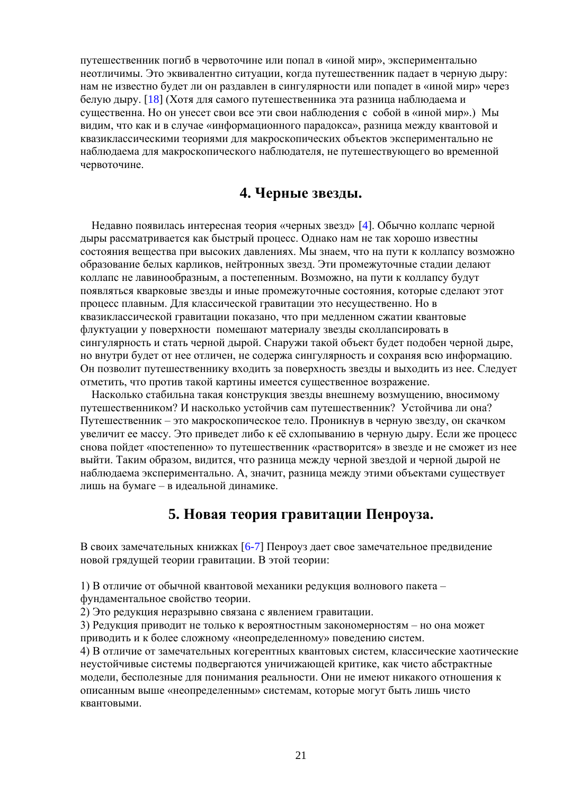путешественник погиб в червоточине или попал в «иной мир», экспериментально неотличимы. Это эквивалентно ситуации, когда путешественник падает в черную дыру: нам не известно будет ли он раздавлен в сингулярности или попадет в «иной мир» через белую дыру. [18] (Хотя для самого путешественника эта разница наблюдаема и существенна. Но он унесет свои все эти свои наблюдения с собой в «иной мир».) Мы видим, что как и в случае «информационного парадокса», разница между квантовой и квазиклассическими теориями для макроскопических объектов экспериментально не наблюдаема для макроскопического наблюдателя, не путешествующего во временной червоточине.

# **4. Черные звезды.**

 Недавно появилась интересная теория «черных звезд» [4]. Обычно коллапс черной дыры рассматривается как быстрый процесс. Однако нам не так хорошо известны состояния вещества при высоких давлениях. Мы знаем, что на пути к коллапсу возможно образование белых карликов, нейтронных звезд. Эти промежуточные стадии делают коллапс не лавинообразным, а постепенным. Возможно, на пути к коллапсу будут появляться кварковые звезды и иные промежуточные состояния, которые сделают этот процесс плавным. Для классической гравитации это несущественно. Но в квазиклассической гравитации показано, что при медленном сжатии квантовые флуктуации у поверхности помешают материалу звезды сколлапсировать в сингулярность и стать черной дырой. Снаружи такой объект будет подобен черной дыре, но внутри будет от нее отличен, не содержа сингулярность и сохраняя всю информацию. Он позволит путешественнику входить за поверхность звезды и выходить из нее. Следует отметить, что против такой картины имеется существенное возражение.

 Насколько стабильна такая конструкция звезды внешнему возмущению, вносимому путешественником? И насколько устойчив сам путешественник? Устойчива ли она? Путешественник – это макроскопическое тело. Проникнув в черную звезду, он скачком увеличит ее массу. Это приведет либо к её схлопыванию в черную дыру. Если же процесс снова пойдет «постепенно» то путешественник «растворится» в звезде и не сможет из нее выйти. Таким образом, видится, что разница между черной звездой и черной дырой не наблюдаема экспериментально. А, значит, разница между этими объектами существует лишь на бумаге – в идеальной динамике.

# **5. Новая теория гравитации Пенроуза.**

В своих замечательных книжках [6-7] Пенроуз дает свое замечательное предвидение новой грядущей теории гравитации. В этой теории:

1) В отличие от обычной квантовой механики редукция волнового пакета –

фундаментальное свойство теории.

2) Это редукция неразрывно связана с явлением гравитации.

3) Редукция приводит не только к вероятностным закономерностям – но она может приводить и к более сложному «неопределенному» поведению систем.

4) В отличие от замечательных когерентных квантовых систем, классические хаотические неустойчивые системы подвергаются уничижающей критике, как чисто абстрактные модели, бесполезные для понимания реальности. Они не имеют никакого отношения к описанным выше «неопределенным» системам, которые могут быть лишь чисто квантовыми.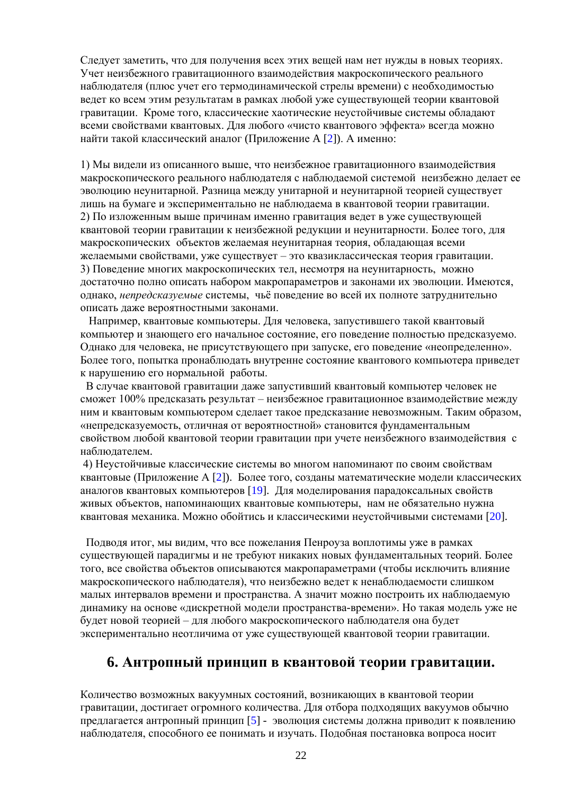Следует заметить, что для получения всех этих вещей нам нет нужды в новых теориях. Учет неизбежного гравитационного взаимодействия макроскопического реального наблюдателя (плюс учет его термодинамической стрелы времени) с необходимостью ведет ко всем этим результатам в рамках любой уже существующей теории квантовой гравитации. Кроме того, классические хаотические неустойчивые системы обладают всеми свойствами квантовых. Для любого «чисто квантового эффекта» всегда можно найти такой классический аналог (Приложение A [2]). А именно:

1) Мы видели из описанного выше, что неизбежное гравитационного взаимодействия макроскопического реального наблюдателя с наблюдаемой системой неизбежно делает ее эволюцию неунитарной. Разница между унитарной и неунитарной теорией существует лишь на бумаге и экспериментально не наблюдаема в квантовой теории гравитации. 2) По изложенным выше причинам именно гравитация ведет в уже существующей квантовой теории гравитации к неизбежной редукции и неунитарности. Более того, для макроскопических объектов желаемая неунитарная теория, обладающая всеми желаемыми свойствами, уже существует – это квазиклассическая теория гравитации. 3) Поведение многих макроскопических тел, несмотря на неунитарность, можно достаточно полно описать набором макропараметров и законами их эволюции. Имеются, однако, *непредсказуемые* системы, чьё поведение во всей их полноте затруднительно описать даже вероятностными законами.

 Например, квантовые компьютеры. Для человека, запустившего такой квантовый компьютер и знающего его начальное состояние, его поведение полностью предсказуемо. Однако для человека, не присутствующего при запуске, его поведение «неопределенно». Более того, попытка пронаблюдать внутренне состояние квантового компьютера приведет к нарушению его нормальной работы.

 В случае квантовой гравитации даже запустивший квантовый компьютер человек не сможет 100% предсказать результат – неизбежное гравитационное взаимодействие между ним и квантовым компьютером сделает такое предсказание невозможным. Таким образом, «непредсказуемость, отличная от вероятностной» становится фундаментальным свойством любой квантовой теории гравитации при учете неизбежного взаимодействия с наблюдателем.

4) Неустойчивые классические системы во многом напоминают по своим свойствам квантовые (Приложение А [2]). Более того, созданы математические модели классических аналогов квантовых компьютеров [19]. Для моделирования парадоксальных свойств живых объектов, напоминающих квантовые компьютеры, нам не обязательно нужна квантовая механика. Можно обойтись и классическими неустойчивыми системами [20].

 Подводя итог, мы видим, что все пожелания Пенроуза воплотимы уже в рамках существующей парадигмы и не требуют никаких новых фундаментальных теорий. Более того, все свойства объектов описываются макропараметрами (чтобы исключить влияние макроскопического наблюдателя), что неизбежно ведет к ненаблюдаемости слишком малых интервалов времени и пространства. А значит можно построить их наблюдаемую динамику на основе «дискретной модели пространства-времени». Но такая модель уже не будет новой теорией – для любого макроскопического наблюдателя она будет экспериментально неотличима от уже существующей квантовой теории гравитации.

### **6. Антропный принцип в квантовой теории гравитации.**

Количество возможных вакуумных состояний, возникающих в квантовой теории гравитации, достигает огромного количества. Для отбора подходящих вакуумов обычно предлагается антропный принцип [5] - эволюция системы должна приводит к появлению наблюдателя, способного ее понимать и изучать. Подобная постановка вопроса носит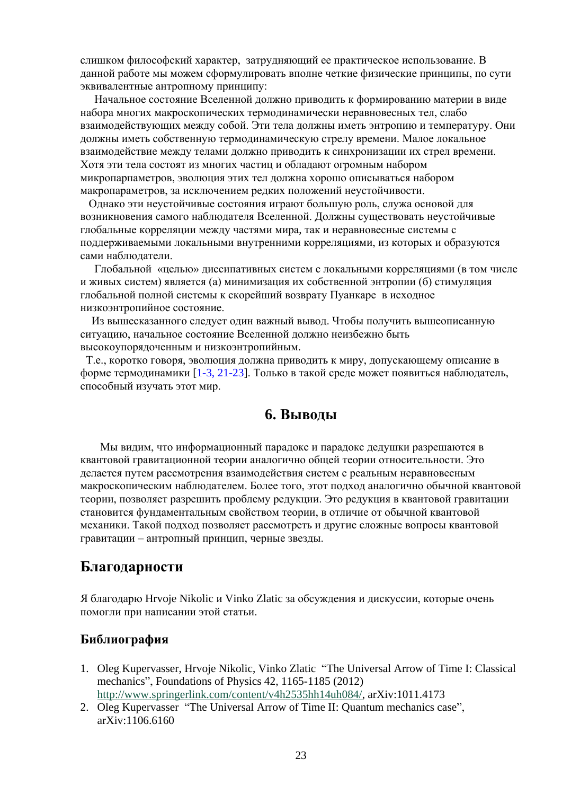слишком философский характер, затрудняющий ее практическое использование. В данной работе мы можем сформулировать вполне четкие физические принципы, по сути эквивалентные антропному принципу:

 Начальное состояние Вселенной должно приводить к формированию материи в виде набора многих макроскопических термодинамически неравновесных тел, слабо взаимодействующих между собой. Эти тела должны иметь энтропию и температуру. Они должны иметь собственную термодинамическую стрелу времени. Малое локальное взаимодействие между телами должно приводить к синхронизации их стрел времени. Хотя эти тела состоят из многих частиц и обладают огромным набором микропарпаметров, эволюция этих тел должна хорошо описываться набором макропараметров, за исключением редких положений неустойчивости.

 Однако эти неустойчивые состояния играют большую роль, служа основой для возникновения самого наблюдателя Вселенной. Должны существовать неустойчивые глобальные корреляции между частями мира, так и неравновесные системы с поддерживаемыми локальными внутренними корреляциями, из которых и образуются сами наблюдатели.

 Глобальной «целью» диссипативных систем с локальными корреляциями (в том числе и живых систем) является (а) минимизация их собственной энтропии (б) стимуляция глобальной полной системы к скорейший возврату Пуанкаре в исходное низкоэнтропийное состояние.

 Из вышесказанного следует один важный вывод. Чтобы получить вышеописанную ситуацию, начальное состояние Вселенной должно неизбежно быть высокоупорядоченным и низкоэнтропийным.

 Т.е., коротко говоря, эволюция должна приводить к миру, допускающему описание в форме термодинамики [1-3, 21-23]. Только в такой среде может появиться наблюдатель, способный изучать этот мир.

# **6. Выводы**

 Мы видим, что информационный парадокс и парадокс дедушки разрешаются в квантовой гравитационной теории аналогично общей теории относительности. Это делается путем рассмотрения взаимодействия систем с реальным неравновесным макроскопическим наблюдателем. Более того, этот подход аналогично обычной квантовой теории, позволяет разрешить проблему редукции. Это редукция в квантовой гравитации становится фундаментальным свойством теории, в отличие от обычной квантовой механики. Такой подход позволяет рассмотреть и другие сложные вопросы квантовой гравитации – антропный принцип, черные звезды.

#### **Благодарности**

Я благодарю Hrvoje Nikolic и Vinko Zlatic за обсуждения и дискуссии, которые очень помогли при написании этой статьи.

#### **Библиография**

- 1. Oleg Kupervasser, Hrvoje Nikolic, Vinko Zlatic "The Universal Arrow of Time I: Classical mechanics", Foundations of Physics 42, 1165-1185 (2012) [http://www.springerlink.com/content/v4h2535hh14uh084/,](http://www.springerlink.com/content/v4h2535hh14uh084/) arXiv:1011.4173
- 2. Oleg Kupervasser "The Universal Arrow of Time II: Quantum mechanics case", arXiv:1106.6160